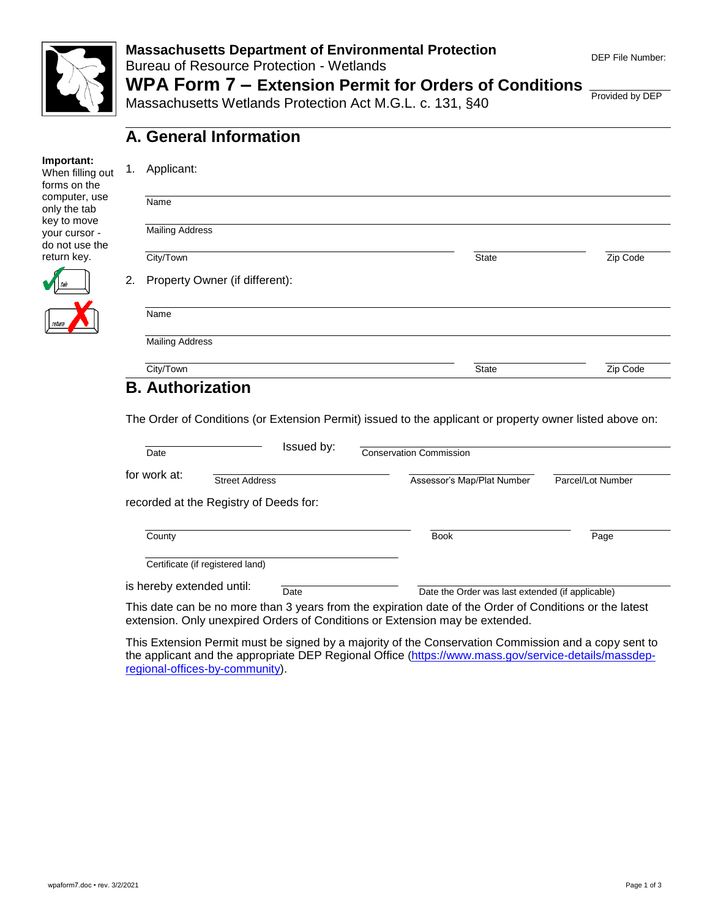

## **Massachusetts Department of Environmental Protection**  Bureau of Resource Protection - Wetlands

## **WPA Form 7 – Extension Permit for Orders of Conditions**

Massachusetts Wetlands Protection Act M.G.L. c. 131, §40

**A. General Information**

Provided by DEP

### **Important:**

When filling out forms on the computer, use only the tab key to move your cursor do not use the return key.

| Applicant:                           |              |          |
|--------------------------------------|--------------|----------|
| Name                                 |              |          |
|                                      |              |          |
| <b>Mailing Address</b>               |              |          |
| City/Town                            | <b>State</b> | Zip Code |
| Property Owner (if different):<br>2. |              |          |
| Name                                 |              |          |
| <b>Mailing Address</b>               |              |          |
| City/Town                            | <b>State</b> | Zip Code |

The Order of Conditions (or Extension Permit) issued to the applicant or property owner listed above on:

| Date                      | Issued by:                             | <b>Conservation Commission</b>                                                                                                                                                          |                   |
|---------------------------|----------------------------------------|-----------------------------------------------------------------------------------------------------------------------------------------------------------------------------------------|-------------------|
| for work at:              | <b>Street Address</b>                  | Assessor's Map/Plat Number                                                                                                                                                              | Parcel/Lot Number |
|                           | recorded at the Registry of Deeds for: |                                                                                                                                                                                         |                   |
| County                    |                                        | <b>Book</b>                                                                                                                                                                             | Page              |
|                           | Certificate (if registered land)       |                                                                                                                                                                                         |                   |
| is hereby extended until: | Date                                   | Date the Order was last extended (if applicable)                                                                                                                                        |                   |
|                           |                                        | This date can be no more than 3 years from the expiration date of the Order of Conditions or the latest<br>extension. Only unexpired Orders of Conditions or Extension may be extended. |                   |
|                           |                                        |                                                                                                                                                                                         |                   |

This Extension Permit must be signed by a majority of the Conservation Commission and a copy sent to the applicant and the appropriate DEP Regional Office ([https://www.mass.gov/service-details/massdep](https://www.mass.gov/service-details/massdep-regional-offices-by-community)[regional-offices-by-community\)](https://www.mass.gov/service-details/massdep-regional-offices-by-community).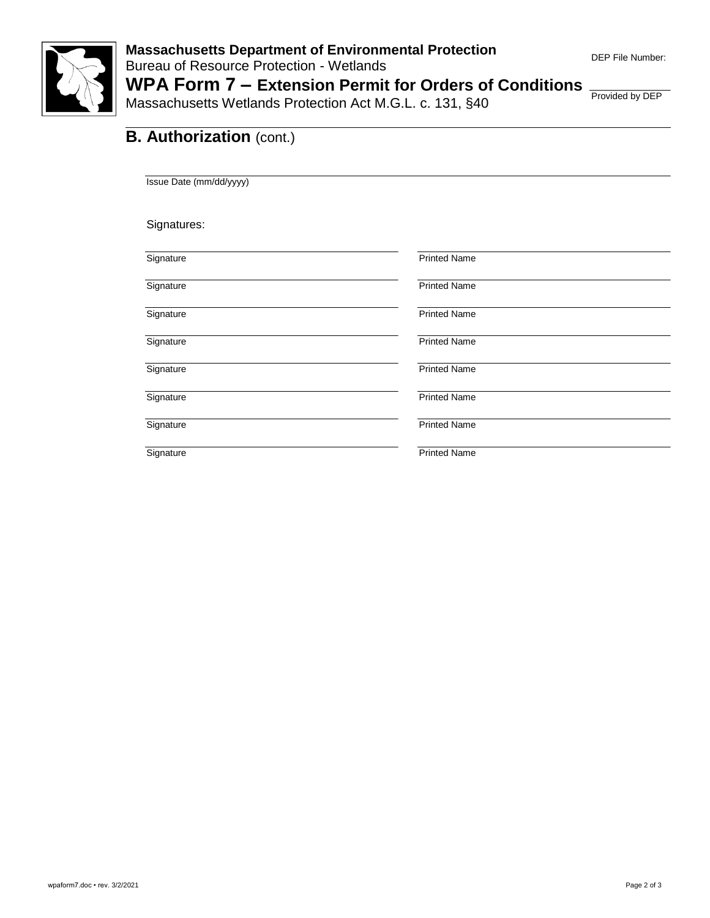

Massachusetts Wetlands Protection Act M.G.L. c. 131, §40

Provided by DEP

### **B. Authorization (cont.)**

Issue Date (mm/dd/yyyy)

Signatures:

| Signature | <b>Printed Name</b> |
|-----------|---------------------|
| Signature | <b>Printed Name</b> |
| Signature | <b>Printed Name</b> |
| Signature | <b>Printed Name</b> |
| Signature | <b>Printed Name</b> |
| Signature | <b>Printed Name</b> |
| Signature | <b>Printed Name</b> |
| Signature | <b>Printed Name</b> |